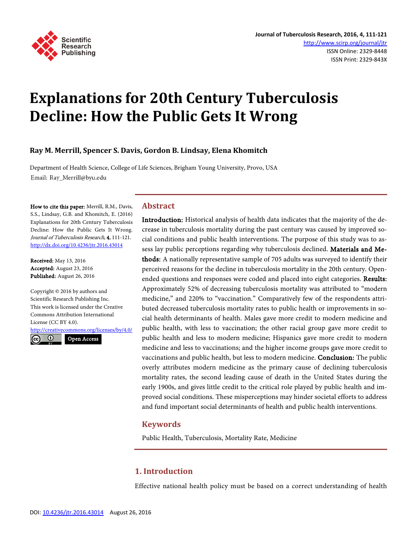

# **Explanations for 20th Century Tuberculosis Decline: How the Public Gets It Wrong**

## **Ray M. Merrill, Spencer S. Davis, Gordon B. Lindsay, Elena Khomitch**

Department of Health Science, College of Life Sciences, Brigham Young University, Provo, USA Email: Ray\_Merrill@byu.edu

How to cite this paper: Merrill, R.M., Davis, S.S., Lindsay, G.B. and Khomitch, E. (2016) Explanations for 20th Century Tuberculosis Decline: How the Public Gets It Wrong. Journal of Tuberculosis Research, 4, 111-121. <http://dx.doi.org/10.4236/jtr.2016.43014>

Received: May 13, 2016 Accepted: August 23, 2016 Published: August 26, 2016

Copyright © 2016 by authors and Scientific Research Publishing Inc. This work is licensed under the Creative Commons Attribution International License (CC BY 4.0). <http://creativecommons.org/licenses/by/4.0/>

Open Access $\odot$ 

#### **Abstract**

Introduction: Historical analysis of health data indicates that the majority of the decrease in tuberculosis mortality during the past century was caused by improved social conditions and public health interventions. The purpose of this study was to assess lay public perceptions regarding why tuberculosis declined. Materials and Methods: A nationally representative sample of 705 adults was surveyed to identify their perceived reasons for the decline in tuberculosis mortality in the 20th century. Openended questions and responses were coded and placed into eight categories. Results: Approximately 52% of decreasing tuberculosis mortality was attributed to "modern medicine," and 220% to "vaccination." Comparatively few of the respondents attributed decreased tuberculosis mortality rates to public health or improvements in social health determinants of health. Males gave more credit to modern medicine and public health, with less to vaccination; the other racial group gave more credit to public health and less to modern medicine; Hispanics gave more credit to modern medicine and less to vaccinations; and the higher income groups gave more credit to vaccinations and public health, but less to modern medicine. Conclusion: The public overly attributes modern medicine as the primary cause of declining tuberculosis mortality rates, the second leading cause of death in the United States during the early 1900s, and gives little credit to the critical role played by public health and improved social conditions. These misperceptions may hinder societal efforts to address and fund important social determinants of health and public health interventions.

# **Keywords**

Public Health, Tuberculosis, Mortality Rate, Medicine

# **1. Introduction**

Effective national health policy must be based on a correct understanding of health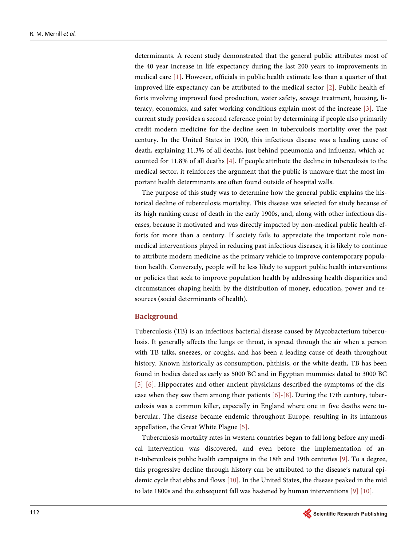determinants. A recent study demonstrated that the general public attributes most of the 40 year increase in life expectancy during the last 200 years to improvements in medical care [\[1\].](#page-9-0) However, officials in public health estimate less than a quarter of that improved life expectancy can be attributed to the medical sector [\[2\].](#page-9-1) Public health efforts involving improved food production, water safety, sewage treatment, housing, literacy, economics, and safer working conditions explain most of the increase [\[3\].](#page-9-2) The current study provides a second reference point by determining if people also primarily credit modern medicine for the decline seen in tuberculosis mortality over the past century. In the United States in 1900, this infectious disease was a leading cause of death, explaining 11.3% of all deaths, just behind pneumonia and influenza, which accounted for 11.8% of all deaths [\[4\].](#page-9-3) If people attribute the decline in tuberculosis to the medical sector, it reinforces the argument that the public is unaware that the most important health determinants are often found outside of hospital walls.

The purpose of this study was to determine how the general public explains the historical decline of tuberculosis mortality. This disease was selected for study because of its high ranking cause of death in the early 1900s, and, along with other infectious diseases, because it motivated and was directly impacted by non-medical public health efforts for more than a century. If society fails to appreciate the important role nonmedical interventions played in reducing past infectious diseases, it is likely to continue to attribute modern medicine as the primary vehicle to improve contemporary population health. Conversely, people will be less likely to support public health interventions or policies that seek to improve population health by addressing health disparities and circumstances shaping health by the distribution of money, education, power and resources (social determinants of health).

#### **Background**

Tuberculosis (TB) is an infectious bacterial disease caused by Mycobacterium tuberculosis. It generally affects the lungs or throat, is spread through the air when a person with TB talks, sneezes, or coughs, and has been a leading cause of death throughout history. Known historically as consumption, phthisis, or the white death, TB has been found in bodies dated as early as 5000 BC and in Egyptian mummies dated to 3000 BC [\[5\]](#page-9-4) [\[6\].](#page-9-5) Hippocrates and other ancient physicians described the symptoms of the disease when they saw them among their patients [\[6\]](#page-9-5)[-\[8\].](#page-9-6) During the 17th century, tuberculosis was a common killer, especially in England where one in five deaths were tubercular. The disease became endemic throughout Europe, resulting in its infamous appellation, the Great White Plagu[e \[5\].](#page-9-4) 

Tuberculosis mortality rates in western countries began to fall long before any medical intervention was discovered, and even before the implementation of anti-tuberculosis public health campaigns in the 18th and 19th centuries [\[9\].](#page-9-7) To a degree, this progressive decline through history can be attributed to the disease's natural epidemic cycle that ebbs and flows [\[10\].](#page-9-8) In the United States, the disease peaked in the mid to late 1800s and the subsequent fall was hastened by human interventions [\[9\]](#page-9-7) [\[10\].](#page-9-8)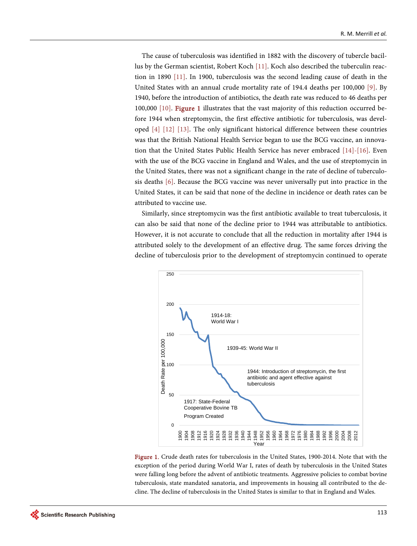The cause of tuberculosis was identified in 1882 with the discovery of tubercle bacillus by the German scientist, Robert Koch [\[11\].](#page-9-9) Koch also described the tuberculin reaction in 1890 [\[11\].](#page-9-9) In 1900, tuberculosis was the second leading cause of death in the United States with an annual crude mortality rate of 194.4 deaths per 100,000 [\[9\].](#page-9-7) By 1940, before the introduction of antibiotics, the death rate was reduced to 46 deaths per 100,000 [\[10\].](#page-9-8) [Figure 1](#page-2-0) illustrates that the vast majority of this reduction occurred before 1944 when streptomycin, the first effective antibiotic for tuberculosis, was developed [\[4\]](#page-9-3) [\[12\]](#page-9-10) [\[13\].](#page-9-11) The only significant historical difference between these countries was that the British National Health Service began to use the BCG vaccine, an innovation that the United States Public Health Service has never embraced [\[14\]](#page-9-12)[-\[16\].](#page-9-13) Even with the use of the BCG vaccine in England and Wales, and the use of streptomycin in the United States, there was not a significant change in the rate of decline of tuberculosis deaths [\[6\].](#page-9-5) Because the BCG vaccine was never universally put into practice in the United States, it can be said that none of the decline in incidence or death rates can be attributed to vaccine use.

<span id="page-2-0"></span>Similarly, since streptomycin was the first antibiotic available to treat tuberculosis, it can also be said that none of the decline prior to 1944 was attributable to antibiotics. However, it is not accurate to conclude that all the reduction in mortality after 1944 is attributed solely to the development of an effective drug. The same forces driving the decline of tuberculosis prior to the development of streptomycin continued to operate



Figure 1. Crude death rates for tuberculosis in the United States, 1900-2014. Note that with the exception of the period during World War I, rates of death by tuberculosis in the United States were falling long before the advent of antibiotic treatments. Aggressive policies to combat bovine tuberculosis, state mandated sanatoria, and improvements in housing all contributed to the decline. The decline of tuberculosis in the United States is similar to that in England and Wales.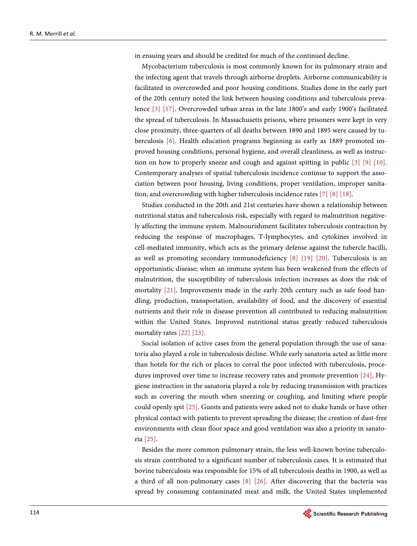in ensuing years and should be credited for much of the continued decline.

Mycobacterium tuberculosis is most commonly known for its pulmonary strain and the infecting agent that travels through airborne droplets. Airborne communicability is facilitated in overcrowded and poor housing conditions. Studies done in the early part of the 20th century noted the link between housing conditions and tuberculosis prevalence [\[3\]](#page-9-2) [\[17\].](#page-9-14) Overcrowded urban areas in the late 1800's and early 1900's facilitated the spread of tuberculosis. In Massachusetts prisons, where prisoners were kept in very close proximity, three-quarters of all deaths between 1890 and 1895 were caused by tuberculosis [\[6\].](#page-9-5) Health education programs beginning as early as 1889 promoted improved housing conditions, personal hygiene, and overall cleanliness, as well as instruction on how to properly sneeze and cough and against spitting in public [\[3\]](#page-9-2) [\[9\]](#page-9-7) [\[10\].](#page-9-8) Contemporary analyses of spatial tuberculosis incidence continue to support the association between poor housing, living conditions, proper ventilation, improper sanitation, and overcrowding with higher tuberculosis incidence rates [\[7\]](#page-9-15) [\[8\]](#page-9-6) [\[18\].](#page-9-16)

Studies conducted in the 20th and 21st centuries have shown a relationship between nutritional status and tuberculosis risk, especially with regard to malnutrition negatively affecting the immune system. Malnourishment facilitates tuberculosis contraction by reducing the response of macrophages, T-lymphocytes, and cytokines involved in cell-mediated immunity, which acts as the primary defense against the tubercle bacilli, as well as promoting secondary immunodeficiency [\[8\]](#page-9-6) [\[19\]](#page-10-0) [\[20\].](#page-10-1) Tuberculosis is an opportunistic disease; when an immune system has been weakened from the effects of malnutrition, the susceptibility of tuberculosis infection increases as does the risk of mortality [\[21\].](#page-10-2) Improvements made in the early 20th century such as safe food handling, production, transportation, availability of food, and the discovery of essential nutrients and their role in disease prevention all contributed to reducing malnutrition within the United States. Improved nutritional status greatly reduced tuberculosis mortality rates [\[22\]](#page-10-3) [\[23\].](#page-10-4)

Social isolation of active cases from the general population through the use of sanatoria also played a role in tuberculosis decline. While early sanatoria acted as little more than hotels for the rich or places to corral the poor infected with tuberculosis, procedures improved over time to increase recovery rates and promote prevention [\[24\].](#page-10-5) Hygiene instruction in the sanatoria played a role by reducing transmission with practices such as covering the mouth when sneezing or coughing, and limiting where people could openly spi[t \[25\].](#page-10-6) Guests and patients were asked not to shake hands or have other physical contact with patients to prevent spreading the disease; the creation of dust-free environments with clean floor space and good ventilation was also a priority in sanatoria [\[25\].](#page-10-6)

Besides the more common pulmonary strain, the less well-known bovine tuberculosis strain contributed to a significant number of tuberculosis cases. It is estimated that bovine tuberculosis was responsible for 15% of all tuberculosis deaths in 1900, as well as a third of all non-pulmonary cases [\[8\]](#page-9-6) [\[26\].](#page-10-7) After discovering that the bacteria was spread by consuming contaminated meat and milk, the United States implemented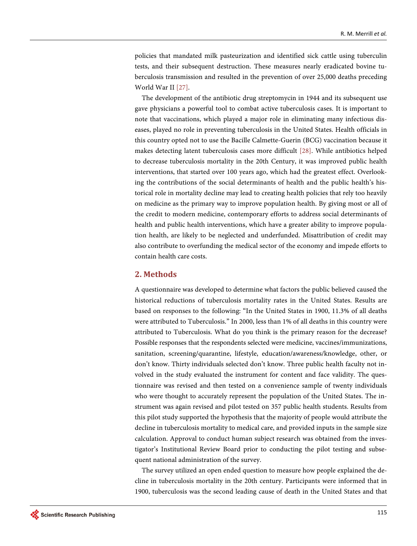policies that mandated milk pasteurization and identified sick cattle using tuberculin tests, and their subsequent destruction. These measures nearly eradicated bovine tuberculosis transmission and resulted in the prevention of over 25,000 deaths preceding World War II [\[27\].](#page-10-8)

The development of the antibiotic drug streptomycin in 1944 and its subsequent use gave physicians a powerful tool to combat active tuberculosis cases. It is important to note that vaccinations, which played a major role in eliminating many infectious diseases, played no role in preventing tuberculosis in the United States. Health officials in this country opted not to use the Bacille Calmette-Guerin (BCG) vaccination because it makes detecting latent tuberculosis cases more difficult [\[28\].](#page-10-9) While antibiotics helped to decrease tuberculosis mortality in the 20th Century, it was improved public health interventions, that started over 100 years ago, which had the greatest effect. Overlooking the contributions of the social determinants of health and the public health's historical role in mortality decline may lead to creating health policies that rely too heavily on medicine as the primary way to improve population health. By giving most or all of the credit to modern medicine, contemporary efforts to address social determinants of health and public health interventions, which have a greater ability to improve population health, are likely to be neglected and underfunded. Misattribution of credit may also contribute to overfunding the medical sector of the economy and impede efforts to contain health care costs.

#### **2. Methods**

A questionnaire was developed to determine what factors the public believed caused the historical reductions of tuberculosis mortality rates in the United States. Results are based on responses to the following: "In the United States in 1900, 11.3% of all deaths were attributed to Tuberculosis." In 2000, less than 1% of all deaths in this country were attributed to Tuberculosis. What do you think is the primary reason for the decrease? Possible responses that the respondents selected were medicine, vaccines/immunizations, sanitation, screening/quarantine, lifestyle, education/awareness/knowledge, other, or don't know. Thirty individuals selected don't know. Three public health faculty not involved in the study evaluated the instrument for content and face validity. The questionnaire was revised and then tested on a convenience sample of twenty individuals who were thought to accurately represent the population of the United States. The instrument was again revised and pilot tested on 357 public health students. Results from this pilot study supported the hypothesis that the majority of people would attribute the decline in tuberculosis mortality to medical care, and provided inputs in the sample size calculation. Approval to conduct human subject research was obtained from the investigator's Institutional Review Board prior to conducting the pilot testing and subsequent national administration of the survey.

The survey utilized an open ended question to measure how people explained the decline in tuberculosis mortality in the 20th century. Participants were informed that in 1900, tuberculosis was the second leading cause of death in the United States and that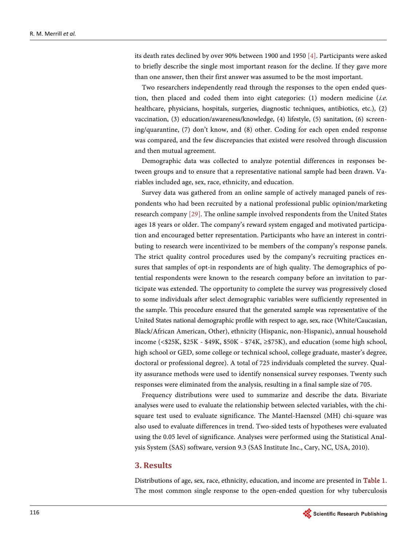its death rates declined by over 90% between 1900 and 195[0 \[4\].](#page-9-3) Participants were asked to briefly describe the single most important reason for the decline. If they gave more than one answer, then their first answer was assumed to be the most important.

Two researchers independently read through the responses to the open ended question, then placed and coded them into eight categories:  $(1)$  modern medicine (*i.e.* healthcare, physicians, hospitals, surgeries, diagnostic techniques, antibiotics, etc.), (2) vaccination, (3) education/awareness/knowledge, (4) lifestyle, (5) sanitation, (6) screening/quarantine, (7) don't know, and (8) other. Coding for each open ended response was compared, and the few discrepancies that existed were resolved through discussion and then mutual agreement.

Demographic data was collected to analyze potential differences in responses between groups and to ensure that a representative national sample had been drawn. Variables included age, sex, race, ethnicity, and education.

Survey data was gathered from an online sample of actively managed panels of respondents who had been recruited by a national professional public opinion/marketing research compan[y \[29\].](#page-10-10) The online sample involved respondents from the United States ages 18 years or older. The company's reward system engaged and motivated participation and encouraged better representation. Participants who have an interest in contributing to research were incentivized to be members of the company's response panels. The strict quality control procedures used by the company's recruiting practices ensures that samples of opt-in respondents are of high quality. The demographics of potential respondents were known to the research company before an invitation to participate was extended. The opportunity to complete the survey was progressively closed to some individuals after select demographic variables were sufficiently represented in the sample. This procedure ensured that the generated sample was representative of the United States national demographic profile with respect to age, sex, race (White/Caucasian, Black/African American, Other), ethnicity (Hispanic, non-Hispanic), annual household income (<\$25K, \$25K - \$49K, \$50K - \$74K, ≥\$75K), and education (some high school, high school or GED, some college or technical school, college graduate, master's degree, doctoral or professional degree). A total of 725 individuals completed the survey. Quality assurance methods were used to identify nonsensical survey responses. Twenty such responses were eliminated from the analysis, resulting in a final sample size of 705.

Frequency distributions were used to summarize and describe the data. Bivariate analyses were used to evaluate the relationship between selected variables, with the chisquare test used to evaluate significance. The Mantel-Haenszel (MH) chi-square was also used to evaluate differences in trend. Two-sided tests of hypotheses were evaluated using the 0.05 level of significance. Analyses were performed using the Statistical Analysis System (SAS) software, version 9.3 (SAS Institute Inc., Cary, NC, USA, 2010).

#### **3. Results**

Distributions of age, sex, race, ethnicity, education, and income are presented in [Table 1.](#page-6-0)  The most common single response to the open-ended question for why tuberculosis

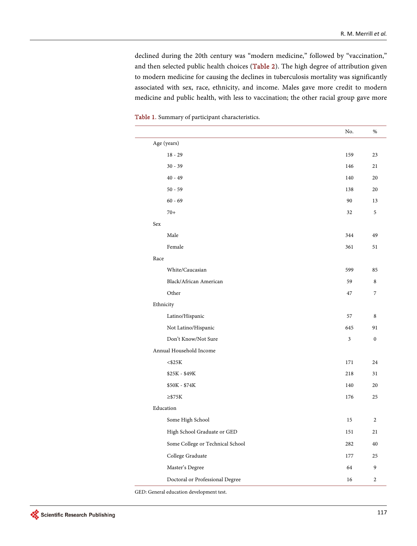declined during the 20th century was "modern medicine," followed by "vaccination," and then selected public health choices [\(Table 2\)](#page-7-0). The high degree of attribution given to modern medicine for causing the declines in tuberculosis mortality was significantly associated with sex, race, ethnicity, and income. Males gave more credit to modern medicine and public health, with less to vaccination; the other racial group gave more

|                                  | No. | $\%$           |
|----------------------------------|-----|----------------|
| Age (years)                      |     |                |
| $18 - 29$                        | 159 | 23             |
| $30 - 39$                        | 146 | 21             |
| $40 - 49$                        | 140 | 20             |
| $50 - 59$                        | 138 | 20             |
| $60 - 69$                        | 90  | 13             |
| $70+$                            | 32  | 5              |
| Sex                              |     |                |
| Male                             | 344 | 49             |
| Female                           | 361 | 51             |
| Race                             |     |                |
| White/Caucasian                  | 599 | 85             |
| Black/African American           | 59  | 8              |
| Other                            | 47  | $\overline{7}$ |
| Ethnicity                        |     |                |
| Latino/Hispanic                  | 57  | 8              |
| Not Latino/Hispanic              | 645 | 91             |
| Don't Know/Not Sure              | 3   | $\mathbf{0}$   |
| Annual Household Income          |     |                |
| $<$ \$25 $K$                     | 171 | 24             |
| \$25K - \$49K                    | 218 | 31             |
| \$50K - \$74K                    | 140 | 20             |
| $\geq$ \$75K                     | 176 | 25             |
| Education                        |     |                |
| Some High School                 | 15  | $\overline{2}$ |
| High School Graduate or GED      | 151 | 21             |
| Some College or Technical School | 282 | 40             |
| College Graduate                 | 177 | 25             |
| Master's Degree                  | 64  | 9              |
| Doctoral or Professional Degree  | 16  | $\overline{c}$ |
|                                  |     |                |

<span id="page-6-0"></span>Table 1. Summary of participant characteristics.

GED: General education development test.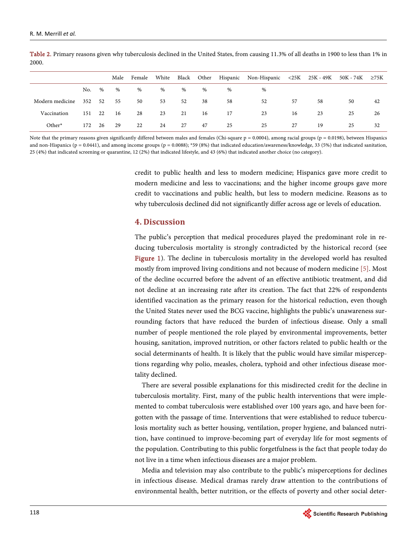|                 |        |     | Male | Female |      |      |    |    | White Black Other Hispanic Non-Hispanic $\langle 25K \rangle$ 25K - 49K 50K - 74K $\geq$ 75K |    |    |    |    |
|-----------------|--------|-----|------|--------|------|------|----|----|----------------------------------------------------------------------------------------------|----|----|----|----|
|                 | No. %  |     | $\%$ | $\%$   | $\%$ | $\%$ | %  | %  | $\%$                                                                                         |    |    |    |    |
| Modern medicine | 352 52 |     | 55   | 50     | 53   | 52   | 38 | 58 | 52                                                                                           | 57 | 58 | 50 | 42 |
| Vaccination     | 151    | 22  | 16   | 28     | 23   | 21   | 16 | 17 | 23                                                                                           | 16 | 23 | 25 | 26 |
| Other*          | 172    | -26 | 29   | 22     | 24   | 27   | 47 | 25 | 25                                                                                           | 27 | 19 | 25 | 32 |

<span id="page-7-0"></span>Table 2. Primary reasons given why tuberculosis declined in the United States, from causing 11.3% of all deaths in 1900 to less than 1% in 2000.

Note that the primary reasons given significantly differed between males and females (Chi-square  $p = 0.0004$ ), among racial groups ( $p = 0.0198$ ), between Hispanics and non-Hispanics ( $p = 0.0441$ ), and among income groups ( $p = 0.0088$ ); \*59 (8%) that indicated education/awareness/knowledge, 33 (5%) that indicated sanitation, 25 (4%) that indicated screening or quarantine, 12 (2%) that indicated lifestyle, and 43 (6%) that indicated another choice (no category).

> credit to public health and less to modern medicine; Hispanics gave more credit to modern medicine and less to vaccinations; and the higher income groups gave more credit to vaccinations and public health, but less to modern medicine. Reasons as to why tuberculosis declined did not significantly differ across age or levels of education.

#### **4. Discussion**

The public's perception that medical procedures played the predominant role in reducing tuberculosis mortality is strongly contradicted by the historical record (see [Figure 1\)](#page-2-0). The decline in tuberculosis mortality in the developed world has resulted mostly from improved living conditions and not because of modern medicine [\[5\].](#page-9-4) Most of the decline occurred before the advent of an effective antibiotic treatment, and did not decline at an increasing rate after its creation. The fact that 22% of respondents identified vaccination as the primary reason for the historical reduction, even though the United States never used the BCG vaccine, highlights the public's unawareness surrounding factors that have reduced the burden of infectious disease. Only a small number of people mentioned the role played by environmental improvements, better housing, sanitation, improved nutrition, or other factors related to public health or the social determinants of health. It is likely that the public would have similar misperceptions regarding why polio, measles, cholera, typhoid and other infectious disease mortality declined.

There are several possible explanations for this misdirected credit for the decline in tuberculosis mortality. First, many of the public health interventions that were implemented to combat tuberculosis were established over 100 years ago, and have been forgotten with the passage of time. Interventions that were established to reduce tuberculosis mortality such as better housing, ventilation, proper hygiene, and balanced nutrition, have continued to improve-becoming part of everyday life for most segments of the population. Contributing to this public forgetfulness is the fact that people today do not live in a time when infectious diseases are a major problem.

Media and television may also contribute to the public's misperceptions for declines in infectious disease. Medical dramas rarely draw attention to the contributions of environmental health, better nutrition, or the effects of poverty and other social deter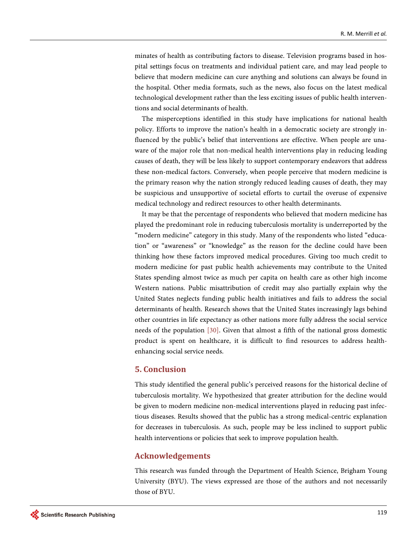minates of health as contributing factors to disease. Television programs based in hospital settings focus on treatments and individual patient care, and may lead people to believe that modern medicine can cure anything and solutions can always be found in the hospital. Other media formats, such as the news, also focus on the latest medical technological development rather than the less exciting issues of public health interventions and social determinants of health.

The misperceptions identified in this study have implications for national health policy. Efforts to improve the nation's health in a democratic society are strongly influenced by the public's belief that interventions are effective. When people are unaware of the major role that non-medical health interventions play in reducing leading causes of death, they will be less likely to support contemporary endeavors that address these non-medical factors. Conversely, when people perceive that modern medicine is the primary reason why the nation strongly reduced leading causes of death, they may be suspicious and unsupportive of societal efforts to curtail the overuse of expensive medical technology and redirect resources to other health determinants.

It may be that the percentage of respondents who believed that modern medicine has played the predominant role in reducing tuberculosis mortality is underreported by the "modern medicine" category in this study. Many of the respondents who listed "education" or "awareness" or "knowledge" as the reason for the decline could have been thinking how these factors improved medical procedures. Giving too much credit to modern medicine for past public health achievements may contribute to the United States spending almost twice as much per capita on health care as other high income Western nations. Public misattribution of credit may also partially explain why the United States neglects funding public health initiatives and fails to address the social determinants of health. Research shows that the United States increasingly lags behind other countries in life expectancy as other nations more fully address the social service needs of the population [\[30\].](#page-10-11) Given that almost a fifth of the national gross domestic product is spent on healthcare, it is difficult to find resources to address healthenhancing social service needs.

### **5. Conclusion**

This study identified the general public's perceived reasons for the historical decline of tuberculosis mortality. We hypothesized that greater attribution for the decline would be given to modern medicine non-medical interventions played in reducing past infectious diseases. Results showed that the public has a strong medical-centric explanation for decreases in tuberculosis. As such, people may be less inclined to support public health interventions or policies that seek to improve population health.

#### **Acknowledgements**

This research was funded through the Department of Health Science, Brigham Young University (BYU). The views expressed are those of the authors and not necessarily those of BYU.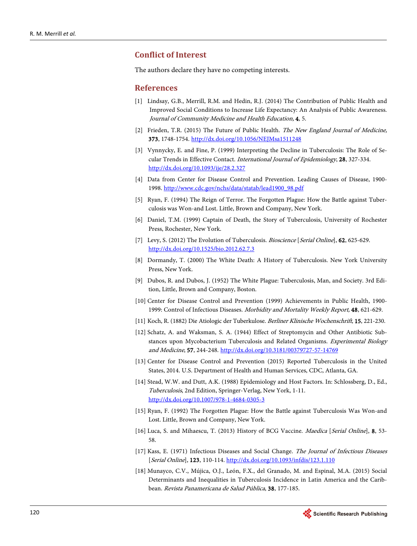# **Conflict of Interest**

The authors declare they have no competing interests.

#### **References**

- <span id="page-9-0"></span>[1] Lindsay, G.B., Merrill, R.M. and Hedin, R.J. (2014) The Contribution of Public Health and Improved Social Conditions to Increase Life Expectancy: An Analysis of Public Awareness. Journal of Community Medicine and Health Education, 4, 5.
- <span id="page-9-1"></span>[2] Frieden, T.R. (2015) The Future of Public Health. The New England Journal of Medicine, 373, 1748-1754. <http://dx.doi.org/10.1056/NEJMsa1511248>
- <span id="page-9-2"></span>[3] Vynnycky, E. and Fine, P. (1999) Interpreting the Decline in Tuberculosis: The Role of Secular Trends in Effective Contact. International Journal of Epidemiology, 28, 327-334. <http://dx.doi.org/10.1093/ije/28.2.327>
- <span id="page-9-3"></span>[4] Data from Center for Disease Control and Prevention. Leading Causes of Disease, 1900- 1998. [http://www.cdc.gov/nchs/data/statab/lead1900\\_98.pdf](http://www.cdc.gov/nchs/data/statab/lead1900_98.pdf)
- <span id="page-9-4"></span>[5] Ryan, F. (1994) The Reign of Terror. The Forgotten Plague: How the Battle against Tuberculosis was Won-and Lost. Little, Brown and Company, New York.
- <span id="page-9-5"></span>[6] Daniel, T.M. (1999) Captain of Death, the Story of Tuberculosis, University of Rochester Press, Rochester, New York.
- <span id="page-9-15"></span>[7] Levy, S. (2012) The Evolution of Tuberculosis. *Bioscience* [*Serial Online*], **62**, 625-629. <http://dx.doi.org/10.1525/bio.2012.62.7.3>
- <span id="page-9-6"></span>[8] Dormandy, T. (2000) The White Death: A History of Tuberculosis. New York University Press, New York.
- <span id="page-9-7"></span>[9] Dubos, R. and Dubos, J. (1952) The White Plague: Tuberculosis, Man, and Society. 3rd Edition, Little, Brown and Company, Boston.
- <span id="page-9-8"></span>[10] Center for Disease Control and Prevention (1999) Achievements in Public Health, 1900- 1999: Control of Infectious Diseases. Morbidity and Mortality Weekly Report, 48, 621-629.
- <span id="page-9-9"></span>[11] Koch, R. (1882) Die Atiologic der Tuberkulose. Berliner Klinische Wochenschrift, 15, 221-230.
- <span id="page-9-10"></span>[12] Schatz, A. and Waksman, S. A. (1944) Effect of Streptomycin and Other Antibiotic Substances upon Mycobacterium Tuberculosis and Related Organisms. Experimental Biology and Medicine, 57, 244-248. <http://dx.doi.org/10.3181/00379727-57-14769>
- <span id="page-9-11"></span>[13] Center for Disease Control and Prevention (2015) Reported Tuberculosis in the United States, 2014. U.S. Department of Health and Human Services, CDC, Atlanta, GA.
- <span id="page-9-12"></span>[14] Stead, W.W. and Dutt, A.K. (1988) Epidemiology and Host Factors. In: Schlossberg, D., Ed., Tuberculosis, 2nd Edition, Springer-Verlag, New York, 1-11. <http://dx.doi.org/10.1007/978-1-4684-0305-3>
- [15] Ryan, F. (1992) The Forgotten Plague: How the Battle against Tuberculosis Was Won-and Lost. Little, Brown and Company, New York.
- <span id="page-9-13"></span>[16] Luca, S. and Mihaescu, T. (2013) History of BCG Vaccine. *Maedica* [*Serial Online*], **8**, 53-58.
- <span id="page-9-14"></span>[17] Kass, E. (1971) Infectious Diseases and Social Change. The Journal of Infectious Diseases [Serial Online], 123, 110-114[. http://dx.doi.org/10.1093/infdis/123.1.110](http://dx.doi.org/10.1093/infdis/123.1.110)
- <span id="page-9-16"></span>[18] Munayco, C.V., Mújica, O.J., León, F.X., del Granado, M. and Espinal, M.A. (2015) Social Determinants and Inequalities in Tuberculosis Incidence in Latin America and the Caribbean. Revista Panamericana de Salud Pública, 38, 177-185.